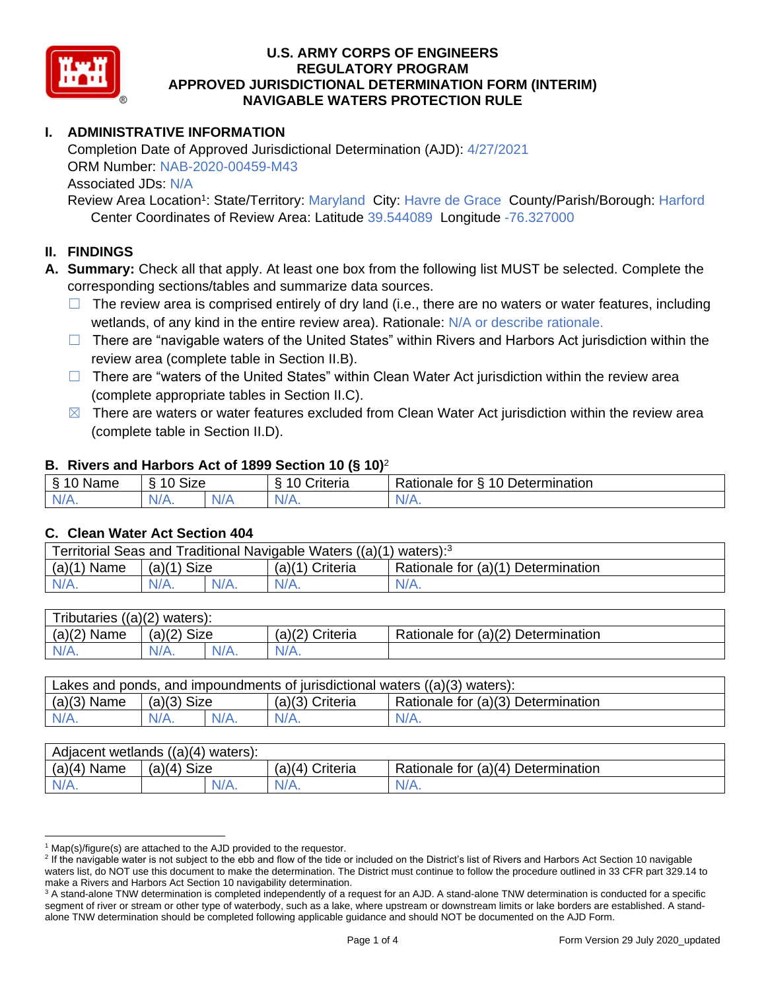

# **I. ADMINISTRATIVE INFORMATION**

Completion Date of Approved Jurisdictional Determination (AJD): 4/27/2021 ORM Number: NAB-2020-00459-M43 Associated JDs: N/A

Review Area Location<sup>1</sup>: State/Territory: Maryland City: Havre de Grace County/Parish/Borough: Harford Center Coordinates of Review Area: Latitude 39.544089 Longitude -76.327000

### **II. FINDINGS**

**A. Summary:** Check all that apply. At least one box from the following list MUST be selected. Complete the corresponding sections/tables and summarize data sources.

- $\Box$  The review area is comprised entirely of dry land (i.e., there are no waters or water features, including wetlands, of any kind in the entire review area). Rationale: N/A or describe rationale.
- $\Box$  There are "navigable waters of the United States" within Rivers and Harbors Act jurisdiction within the review area (complete table in Section II.B).
- ☐ There are "waters of the United States" within Clean Water Act jurisdiction within the review area (complete appropriate tables in Section II.C).
- $\boxtimes$  There are waters or water features excluded from Clean Water Act jurisdiction within the review area (complete table in Section II.D).

### **B. Rivers and Harbors Act of 1899 Section 10 (§ 10)**<sup>2</sup>

| -S<br>$\sim$<br>Name<br>υ | Size<br>$\sim$<br>c |     | ⌒<br>$\sim$<br>`riteria | 10<br>$\overline{\phantom{a}}$<br>-<br><b>Jetermination</b><br>⊀atıonale<br>tor<br>ٮ |
|---------------------------|---------------------|-----|-------------------------|--------------------------------------------------------------------------------------|
| $N/A$ .                   | $N/A$ .             | N/F | N/A.                    | N/A.                                                                                 |

#### **C. Clean Water Act Section 404**

| Territorial Seas and Traditional Navigable Waters ((a)(1) waters): <sup>3</sup> |                |  |                   |                                    |  |  |
|---------------------------------------------------------------------------------|----------------|--|-------------------|------------------------------------|--|--|
| (a)(1)<br>Name                                                                  | Size<br>(a)(1) |  | $(a)(1)$ Criteria | Rationale for (a)(1) Determination |  |  |
|                                                                                 | $N/A$ .        |  | $N/A$ .           | $N/A$ .                            |  |  |

| Tributaries $((a)(2)$ waters): |               |         |                   |                                    |  |  |
|--------------------------------|---------------|---------|-------------------|------------------------------------|--|--|
| $(a)(2)$ Name                  | $(a)(2)$ Size |         | $(a)(2)$ Criteria | Rationale for (a)(2) Determination |  |  |
| $N/A$ .                        | $N/A$ .       | $N/A$ . | $N/A$ .           |                                    |  |  |

| Lakes and ponds, and impoundments of jurisdictional waters $((a)(3)$ waters): |               |  |                 |                                    |  |
|-------------------------------------------------------------------------------|---------------|--|-----------------|------------------------------------|--|
| $(a)(3)$ Name                                                                 | $(a)(3)$ Size |  | (a)(3) Criteria | Rationale for (a)(3) Determination |  |
| $N/A$ .                                                                       | $N/A$ .       |  | $N/A$ .         | $N/A$ .                            |  |

| Adjacent wetlands $((a)(4))$<br>waters): |                |                    |                                    |  |  |  |
|------------------------------------------|----------------|--------------------|------------------------------------|--|--|--|
| (a)(4)<br>Name                           | Size<br>(a)(4) | (a)(4)<br>Criteria | Rationale for (a)(4) Determination |  |  |  |
| N/A.                                     | $N/A$ .        | $N/A$ .            | N/A.                               |  |  |  |

 $1$  Map(s)/figure(s) are attached to the AJD provided to the requestor.

<sup>&</sup>lt;sup>2</sup> If the navigable water is not subject to the ebb and flow of the tide or included on the District's list of Rivers and Harbors Act Section 10 navigable waters list, do NOT use this document to make the determination. The District must continue to follow the procedure outlined in 33 CFR part 329.14 to make a Rivers and Harbors Act Section 10 navigability determination.

<sup>&</sup>lt;sup>3</sup> A stand-alone TNW determination is completed independently of a request for an AJD. A stand-alone TNW determination is conducted for a specific segment of river or stream or other type of waterbody, such as a lake, where upstream or downstream limits or lake borders are established. A standalone TNW determination should be completed following applicable guidance and should NOT be documented on the AJD Form.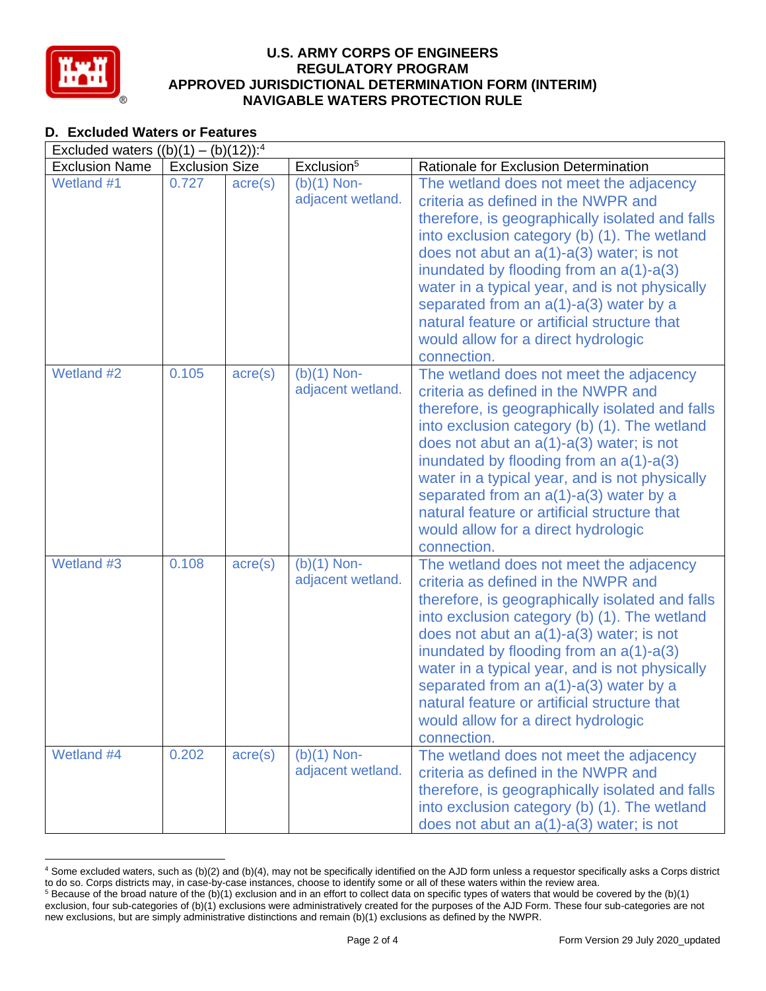

# **D. Excluded Waters or Features**

| Excluded waters $((b)(1) - (b)(12))$ : <sup>4</sup> |                       |                  |                                    |                                                                                                                                                                                                                                                                                                                                                                                                                                                                                              |  |
|-----------------------------------------------------|-----------------------|------------------|------------------------------------|----------------------------------------------------------------------------------------------------------------------------------------------------------------------------------------------------------------------------------------------------------------------------------------------------------------------------------------------------------------------------------------------------------------------------------------------------------------------------------------------|--|
| <b>Exclusion Name</b>                               | <b>Exclusion Size</b> |                  | Exclusion <sup>5</sup>             | Rationale for Exclusion Determination                                                                                                                                                                                                                                                                                                                                                                                                                                                        |  |
| Wetland #1                                          | 0.727                 | $\text{acre}(s)$ | $(b)(1)$ Non-<br>adjacent wetland. | The wetland does not meet the adjacency<br>criteria as defined in the NWPR and<br>therefore, is geographically isolated and falls<br>into exclusion category (b) (1). The wetland<br>does not abut an $a(1)-a(3)$ water; is not<br>inundated by flooding from an $a(1)$ - $a(3)$<br>water in a typical year, and is not physically<br>separated from an $a(1)$ - $a(3)$ water by a<br>natural feature or artificial structure that<br>would allow for a direct hydrologic<br>connection.     |  |
| Wetland #2                                          | 0.105                 | $\text{acre}(s)$ | $(b)(1)$ Non-<br>adjacent wetland. | The wetland does not meet the adjacency<br>criteria as defined in the NWPR and<br>therefore, is geographically isolated and falls<br>into exclusion category (b) (1). The wetland<br>does not abut an a(1)-a(3) water; is not<br>inundated by flooding from an $a(1)$ - $a(3)$<br>water in a typical year, and is not physically<br>separated from an $a(1)$ - $a(3)$ water by a<br>natural feature or artificial structure that<br>would allow for a direct hydrologic<br>connection.       |  |
| Wetland #3                                          | 0.108                 | $\text{acre}(s)$ | $(b)(1)$ Non-<br>adjacent wetland. | The wetland does not meet the adjacency<br>criteria as defined in the NWPR and<br>therefore, is geographically isolated and falls<br>into exclusion category (b) (1). The wetland<br>does not abut an $a(1)$ - $a(3)$ water; is not<br>inundated by flooding from an $a(1)$ - $a(3)$<br>water in a typical year, and is not physically<br>separated from an $a(1)$ - $a(3)$ water by a<br>natural feature or artificial structure that<br>would allow for a direct hydrologic<br>connection. |  |
| Wetland #4                                          | 0.202                 | $\text{acre}(s)$ | $(b)(1)$ Non-<br>adjacent wetland. | The wetland does not meet the adjacency<br>criteria as defined in the NWPR and<br>therefore, is geographically isolated and falls<br>into exclusion category (b) (1). The wetland<br>does not abut an $a(1)$ - $a(3)$ water; is not                                                                                                                                                                                                                                                          |  |

<sup>4</sup> Some excluded waters, such as (b)(2) and (b)(4), may not be specifically identified on the AJD form unless a requestor specifically asks a Corps district to do so. Corps districts may, in case-by-case instances, choose to identify some or all of these waters within the review area.  $5$  Because of the broad nature of the (b)(1) exclusion and in an effort to collect data on specific types of waters that would be covered by the (b)(1)

exclusion, four sub-categories of (b)(1) exclusions were administratively created for the purposes of the AJD Form. These four sub-categories are not new exclusions, but are simply administrative distinctions and remain (b)(1) exclusions as defined by the NWPR.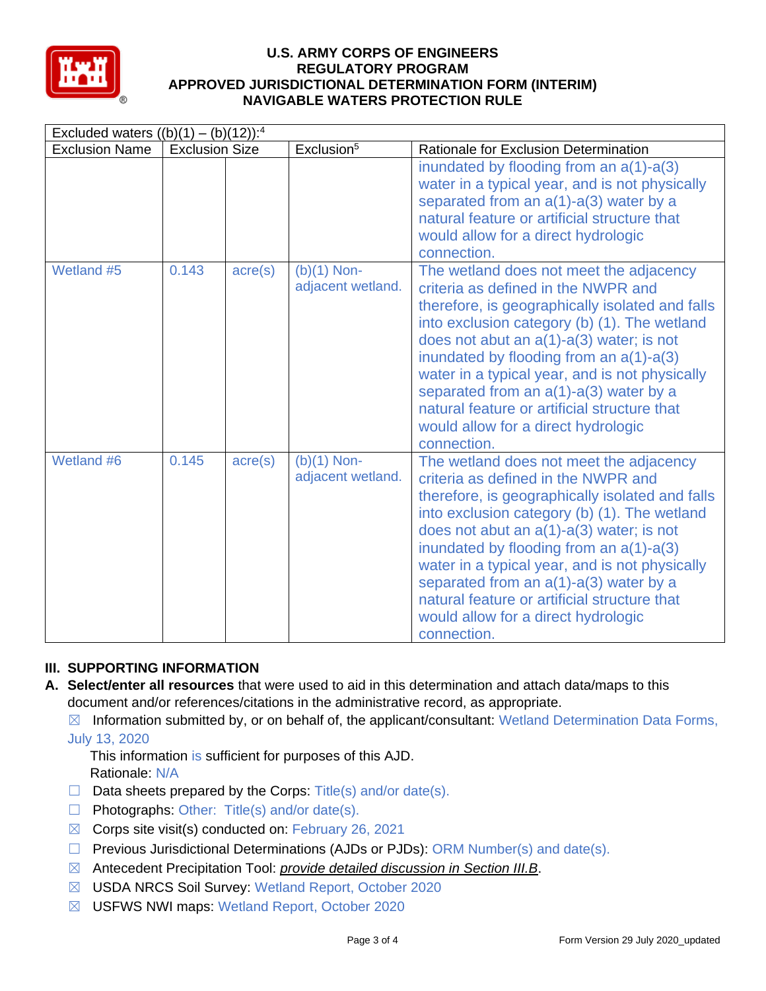

| Excluded waters $((b)(1) - (b)(12))$ : <sup>4</sup> |                       |                  |                                    |                                                                                                                                                                                                                                                                                                                                                                                                                                                                                          |  |
|-----------------------------------------------------|-----------------------|------------------|------------------------------------|------------------------------------------------------------------------------------------------------------------------------------------------------------------------------------------------------------------------------------------------------------------------------------------------------------------------------------------------------------------------------------------------------------------------------------------------------------------------------------------|--|
| <b>Exclusion Name</b>                               | <b>Exclusion Size</b> |                  | Exclusion <sup>5</sup>             | <b>Rationale for Exclusion Determination</b>                                                                                                                                                                                                                                                                                                                                                                                                                                             |  |
|                                                     |                       |                  |                                    | inundated by flooding from an $a(1)$ - $a(3)$<br>water in a typical year, and is not physically<br>separated from an $a(1)$ - $a(3)$ water by a<br>natural feature or artificial structure that<br>would allow for a direct hydrologic<br>connection.                                                                                                                                                                                                                                    |  |
| Wetland #5                                          | 0.143                 | $\text{acre}(s)$ | $(b)(1)$ Non-<br>adjacent wetland. | The wetland does not meet the adjacency<br>criteria as defined in the NWPR and<br>therefore, is geographically isolated and falls<br>into exclusion category (b) (1). The wetland<br>does not abut an $a(1)-a(3)$ water; is not<br>inundated by flooding from an $a(1)$ - $a(3)$<br>water in a typical year, and is not physically<br>separated from an $a(1)$ - $a(3)$ water by a<br>natural feature or artificial structure that<br>would allow for a direct hydrologic<br>connection. |  |
| Wetland #6                                          | 0.145                 | $\text{acre}(s)$ | $(b)(1)$ Non-<br>adjacent wetland. | The wetland does not meet the adjacency<br>criteria as defined in the NWPR and<br>therefore, is geographically isolated and falls<br>into exclusion category (b) (1). The wetland<br>does not abut an $a(1)-a(3)$ water; is not<br>inundated by flooding from an $a(1)$ - $a(3)$<br>water in a typical year, and is not physically<br>separated from an $a(1)$ - $a(3)$ water by a<br>natural feature or artificial structure that<br>would allow for a direct hydrologic<br>connection. |  |

## **III. SUPPORTING INFORMATION**

- **A. Select/enter all resources** that were used to aid in this determination and attach data/maps to this document and/or references/citations in the administrative record, as appropriate.
	- $\boxtimes$  Information submitted by, or on behalf of, the applicant/consultant: Wetland Determination Data Forms, July 13, 2020

This information is sufficient for purposes of this AJD. Rationale: N/A

- $\Box$  Data sheets prepared by the Corps: Title(s) and/or date(s).
- ☐ Photographs: Other: Title(s) and/or date(s).
- $\boxtimes$  Corps site visit(s) conducted on: February 26, 2021
- $\Box$  Previous Jurisdictional Determinations (AJDs or PJDs): ORM Number(s) and date(s).
- ☒ Antecedent Precipitation Tool: *provide detailed discussion in Section III.B*.
- ☒ USDA NRCS Soil Survey: Wetland Report, October 2020
- ☒ USFWS NWI maps: Wetland Report, October 2020